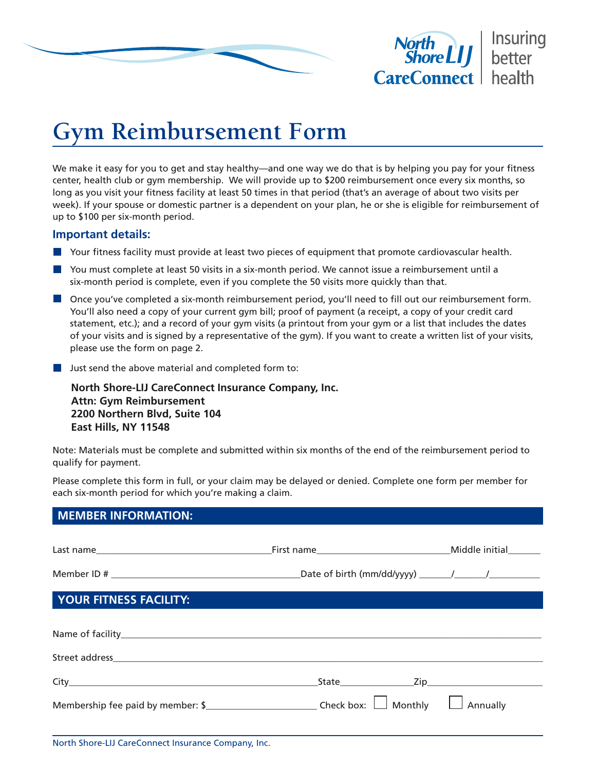



## **Gym Reimbursement Form**

We make it easy for you to get and stay healthy—and one way we do that is by helping you pay for your fitness center, health club or gym membership. We will provide up to \$200 reimbursement once every six months, so long as you visit your fitness facility at least 50 times in that period (that's an average of about two visits per week). If your spouse or domestic partner is a dependent on your plan, he or she is eligible for reimbursement of up to \$100 per six-month period.

## **Important details:**

- Your fitness facility must provide at least two pieces of equipment that promote cardiovascular health.
- **Notat 20 You must complete at least 50 visits in a six-month period. We cannot issue a reimbursement until a** six-month period is complete, even if you complete the 50 visits more quickly than that.
- **D** Once you've completed a six-month reimbursement period, you'll need to fill out our reimbursement form. You'll also need a copy of your current gym bill; proof of payment (a receipt, a copy of your credit card statement, etc.); and a record of your gym visits (a printout from your gym or a list that includes the dates of your visits and is signed by a representative of the gym). If you want to create a written list of your visits, please use the form on page 2.
- **Just send the above material and completed form to:**

**North Shore-LIJ CareConnect Insurance Company, Inc. Attn: Gym Reimbursement 2200 Northern Blvd, Suite 104 East Hills, NY 11548**

Note: Materials must be complete and submitted within six months of the end of the reimbursement period to qualify for payment.

Please complete this form in full, or your claim may be delayed or denied. Complete one form per member for each six-month period for which you're making a claim.

| <b>MEMBER INFORMATION:</b> |                 |
|----------------------------|-----------------|
|                            |                 |
|                            |                 |
| YOUR FITNESS FACILITY:     |                 |
|                            |                 |
|                            |                 |
|                            |                 |
|                            | $\Box$ Annually |
|                            |                 |